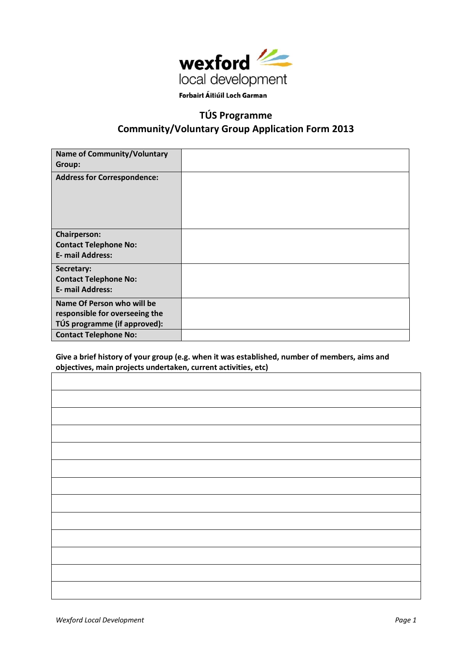

# **TÚS Programme Community/Voluntary Group Application Form 2013**

| <b>Name of Community/Voluntary</b><br>Group:                                                                                 |  |
|------------------------------------------------------------------------------------------------------------------------------|--|
| <b>Address for Correspondence:</b>                                                                                           |  |
| <b>Chairperson:</b><br><b>Contact Telephone No:</b><br><b>E- mail Address:</b>                                               |  |
| Secretary:<br><b>Contact Telephone No:</b><br><b>E- mail Address:</b>                                                        |  |
| Name Of Person who will be<br>responsible for overseeing the<br>TÚS programme (if approved):<br><b>Contact Telephone No:</b> |  |
|                                                                                                                              |  |

**Give a brief history of your group (e.g. when it was established, number of members, aims and objectives, main projects undertaken, current activities, etc)**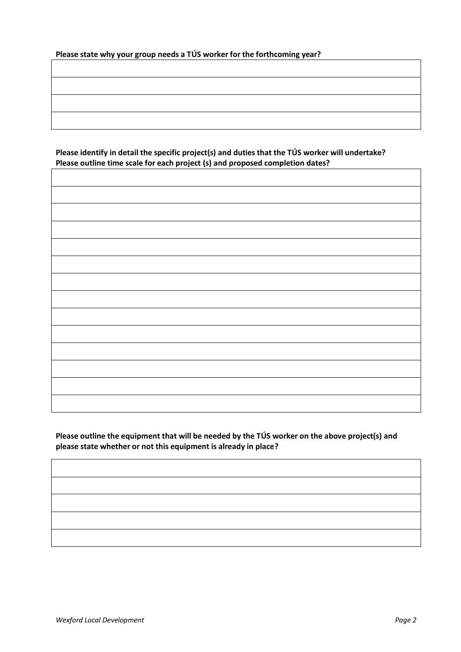| Please state why your group needs a TÚS worker for the forthcoming year? |  |  |
|--------------------------------------------------------------------------|--|--|
|--------------------------------------------------------------------------|--|--|

**Please identify in detail the specific project(s) and duties that the TÚS worker will undertake? Please outline time scale for each project (s) and proposed completion dates?**  $\overline{\Gamma}$ 

**Please outline the equipment that will be needed by the TÚS worker on the above project(s) and please state whether or not this equipment is already in place?**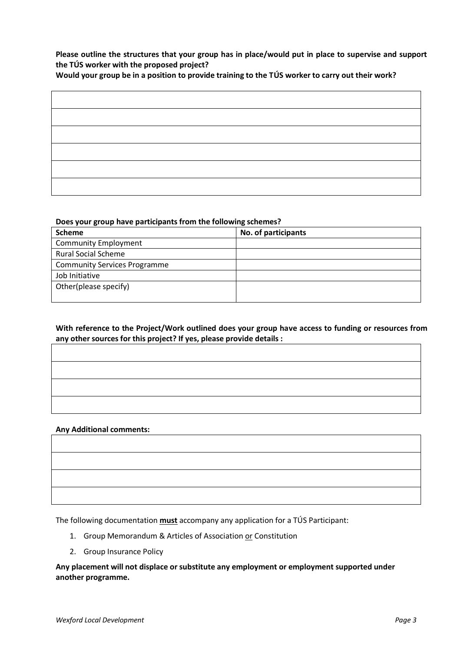**Please outline the structures that your group has in place/would put in place to supervise and support the TÚS worker with the proposed project?**

**Would your group be in a position to provide training to the TÚS worker to carry out their work?**

#### **Does your group have participants from the following schemes?**

| <b>Scheme</b>                       | No. of participants |
|-------------------------------------|---------------------|
| <b>Community Employment</b>         |                     |
| <b>Rural Social Scheme</b>          |                     |
| <b>Community Services Programme</b> |                     |
| Job Initiative                      |                     |
| Other(please specify)               |                     |
|                                     |                     |

## **With reference to the Project/Work outlined does your group have access to funding or resources from any other sources for this project? If yes, please provide details :**

#### **Any Additional comments:**

The following documentation **must** accompany any application for a TÚS Participant:

- 1. Group Memorandum & Articles of Association or Constitution
- 2. Group Insurance Policy

**Any placement will not displace or substitute any employment or employment supported under another programme.**